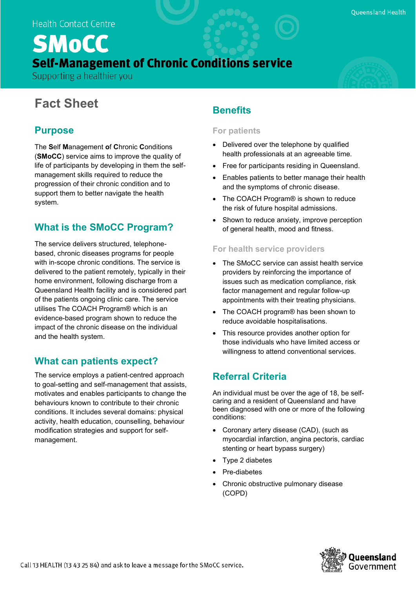# **SMoCC Self-Management of Chronic Conditions service**

Supporting a healthier you

## **Fact Sheet**

### **Purpose**

The **S**elf **M**anagement **o**f **C**hronic **C**onditions (**SMoCC**) service aims to improve the quality of life of participants by developing in them the selfmanagement skills required to reduce the progression of their chronic condition and to support them to better navigate the health system.

### **What is the SMoCC Program?**

The service delivers structured, telephonebased, chronic diseases programs for people with in-scope chronic conditions. The service is delivered to the patient remotely, typically in their home environment, following discharge from a Queensland Health facility and is considered part of the patients ongoing clinic care. The service utilises The COACH Program® which is an evidence-based program shown to reduce the impact of the chronic disease on the individual and the health system.

### **What can patients expect?**

The service employs a patient-centred approach to goal-setting and self-management that assists, motivates and enables participants to change the behaviours known to contribute to their chronic conditions. It includes several domains: physical activity, health education, counselling, behaviour modification strategies and support for selfmanagement.

### **Benefits**

#### **For patients**

- Delivered over the telephone by qualified health professionals at an agreeable time.
- Free for participants residing in Queensland.
- Enables patients to better manage their health and the symptoms of chronic disease.
- The COACH Program<sup>®</sup> is shown to reduce the risk of future hospital admissions.
- Shown to reduce anxiety, improve perception of general health, mood and fitness.

#### **For health service providers**

- The SMoCC service can assist health service providers by reinforcing the importance of issues such as medication compliance, risk factor management and regular follow-up appointments with their treating physicians.
- The COACH program® has been shown to reduce avoidable hospitalisations.
- This resource provides another option for those individuals who have limited access or willingness to attend conventional services.

### **Referral Criteria**

An individual must be over the age of 18, be selfcaring and a resident of Queensland and have been diagnosed with one or more of the following conditions:

- Coronary artery disease (CAD), (such as myocardial infarction, angina pectoris, cardiac stenting or heart bypass surgery)
- Type 2 diabetes
- Pre-diabetes
- Chronic obstructive pulmonary disease (COPD)